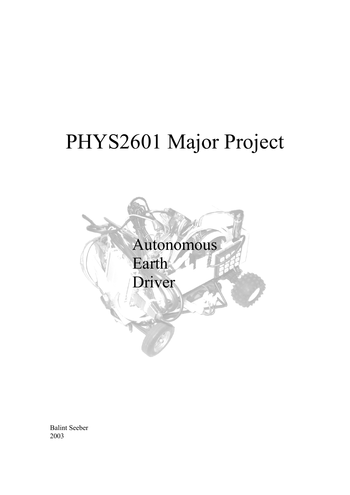# PHYS2601 Major Project



Balint Seeber 2003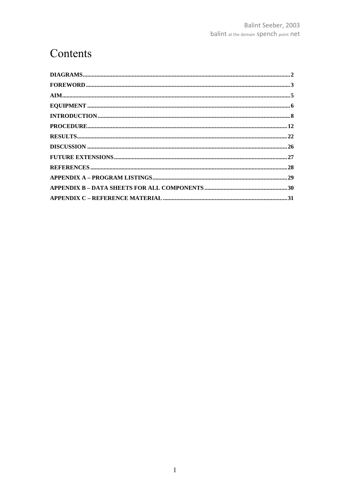### Contents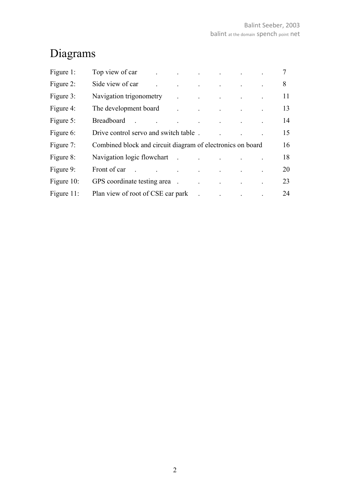# Diagrams

| Figure 1:  | Top view of car                                                                                                                                                                                                                                             | $\mathcal{L}^{\mathcal{A}}$ and $\mathcal{L}^{\mathcal{A}}$ are the set of the set of the set of the set of the set of the set of the set of the set of the set of the set of the set of the set of the set of the set of the set of the set of the s |                                                                                                                                                                                                                                       |  | $\overline{7}$ |
|------------|-------------------------------------------------------------------------------------------------------------------------------------------------------------------------------------------------------------------------------------------------------------|-------------------------------------------------------------------------------------------------------------------------------------------------------------------------------------------------------------------------------------------------------|---------------------------------------------------------------------------------------------------------------------------------------------------------------------------------------------------------------------------------------|--|----------------|
| Figure 2:  | Side view of car                                                                                                                                                                                                                                            | and the contract of the contract of the contract of                                                                                                                                                                                                   |                                                                                                                                                                                                                                       |  | 8              |
| Figure 3:  | Navigation trigonometry                                                                                                                                                                                                                                     |                                                                                                                                                                                                                                                       | $\mathcal{L}^{\mathcal{A}}$ and $\mathcal{L}^{\mathcal{A}}$ are the set of the set of the set of the set of the $\mathcal{A}$                                                                                                         |  | 11             |
| Figure 4:  | The development board                                                                                                                                                                                                                                       |                                                                                                                                                                                                                                                       | $\mathbf{r}^{\prime}$ , and the set of the set of the set of the set of the set of the set of the set of the set of the set of the set of the set of the set of the set of the set of the set of the set of the set of the set of the |  | 13             |
| Figure 5:  | Breadboard<br>the contract of the contract of the contract of the                                                                                                                                                                                           |                                                                                                                                                                                                                                                       |                                                                                                                                                                                                                                       |  | 14             |
| Figure 6:  | Drive control servo and switch table.                                                                                                                                                                                                                       |                                                                                                                                                                                                                                                       |                                                                                                                                                                                                                                       |  | 15             |
| Figure 7:  | Combined block and circuit diagram of electronics on board                                                                                                                                                                                                  |                                                                                                                                                                                                                                                       |                                                                                                                                                                                                                                       |  | 16             |
| Figure 8:  | Navigation logic flowchart .                                                                                                                                                                                                                                |                                                                                                                                                                                                                                                       |                                                                                                                                                                                                                                       |  | 18             |
| Figure 9:  | Front of car .<br>$\mathcal{L}^{\mathcal{L}}$ . The contribution of the contribution of the contribution of the contribution of the contribution of the contribution of the contribution of the contribution of the contribution of the contribution of the |                                                                                                                                                                                                                                                       |                                                                                                                                                                                                                                       |  | 20             |
| Figure 10: | GPS coordinate testing area                                                                                                                                                                                                                                 |                                                                                                                                                                                                                                                       |                                                                                                                                                                                                                                       |  | 23             |
| Figure 11: | Plan view of root of CSE car park                                                                                                                                                                                                                           |                                                                                                                                                                                                                                                       | $\mathcal{A}$ and $\mathcal{A}$ are $\mathcal{A}$ . In the contract of $\mathcal{A}$                                                                                                                                                  |  | 24             |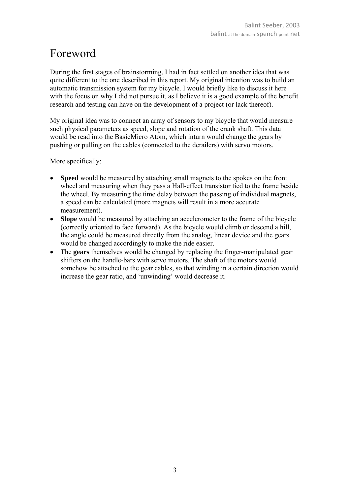### Foreword

During the first stages of brainstorming, I had in fact settled on another idea that was quite different to the one described in this report. My original intention was to build an automatic transmission system for my bicycle. I would briefly like to discuss it here with the focus on why I did not pursue it, as I believe it is a good example of the benefit research and testing can have on the development of a project (or lack thereof).

My original idea was to connect an array of sensors to my bicycle that would measure such physical parameters as speed, slope and rotation of the crank shaft. This data would be read into the BasicMicro Atom, which inturn would change the gears by pushing or pulling on the cables (connected to the derailers) with servo motors.

More specifically:

- **Speed** would be measured by attaching small magnets to the spokes on the front wheel and measuring when they pass a Hall-effect transistor tied to the frame beside the wheel. By measuring the time delay between the passing of individual magnets, a speed can be calculated (more magnets will result in a more accurate measurement).
- **Slope** would be measured by attaching an accelerometer to the frame of the bicycle (correctly oriented to face forward). As the bicycle would climb or descend a hill, the angle could be measured directly from the analog, linear device and the gears would be changed accordingly to make the ride easier.
- The **gears** themselves would be changed by replacing the finger-manipulated gear shifters on the handle-bars with servo motors. The shaft of the motors would somehow be attached to the gear cables, so that winding in a certain direction would increase the gear ratio, and 'unwinding' would decrease it.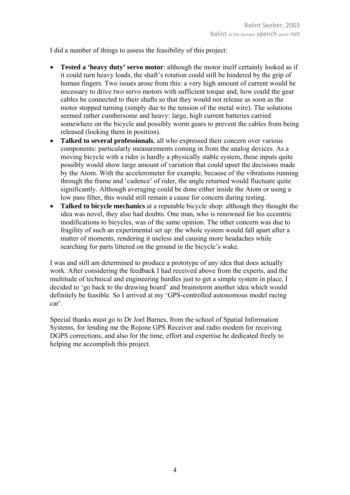I did a number of things to assess the feasibility of this project:

- **Tested a 'heavy duty' servo motor**: although the motor itself certainly looked as if it could turn heavy loads, the shaft's rotation could still be hindered by the grip of human fingers. Two issues arose from this: a very high amount of current would be necessary to drive two servo motors with sufficient torque and, how could the gear cables be connected to their shafts so that they would not release as soon as the motor stopped turning (simply due to the tension of the metal wire). The solutions seemed rather cumbersome and heavy: large, high current batteries carried somewhere on the bicycle and possibly worm gears to prevent the cables from being released (locking them in position).
- **Talked to several professionals**, all who expressed their concern over various components: particularly measurements coming in from the analog devices. As a moving bicycle with a rider is hardly a physically stable system, these inputs quite possibly would show large amount of variation that could upset the decisions made by the Atom. With the accelerometer for example, because of the vibrations running through the frame and 'cadence' of rider, the angle returned would fluctuate quite significantly. Although averaging could be done either inside the Atom or using a low pass filter, this would still remain a cause for concern during testing.
- **Talked to bicycle mechanics** at a reputable bicycle shop: although they thought the idea was novel, they also had doubts. One man, who is renowned for his eccentric modifications to bicycles, was of the same opinion. The other concern was due to fragility of such an experimental set up: the whole system would fall apart after a matter of moments, rendering it useless and causing more headaches while searching for parts littered on the ground in the bicycle's wake.

I was and still am determined to produce a prototype of any idea that does actually work. After considering the feedback I had received above from the experts, and the multitude of technical and engineering hurdles just to get a simple system in place, I decided to 'go back to the drawing board' and brainstorm another idea which would definitely be feasible. So I arrived at my 'GPS-controlled autonomous model racing car'.

Special thanks must go to Dr Joel Barnes, from the school of Spatial Information Systems, for lending me the Rojone GPS Receiver and radio modem for receiving DGPS corrections, and also for the time, effort and expertise he dedicated freely to helping me accomplish this project.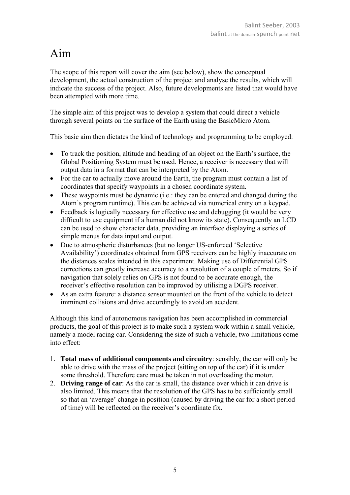### Aim

The scope of this report will cover the aim (see below), show the conceptual development, the actual construction of the project and analyse the results, which will indicate the success of the project. Also, future developments are listed that would have been attempted with more time.

The simple aim of this project was to develop a system that could direct a vehicle through several points on the surface of the Earth using the BasicMicro Atom.

This basic aim then dictates the kind of technology and programming to be employed:

- To track the position, altitude and heading of an object on the Earth's surface, the Global Positioning System must be used. Hence, a receiver is necessary that will output data in a format that can be interpreted by the Atom.
- For the car to actually move around the Earth, the program must contain a list of coordinates that specify waypoints in a chosen coordinate system.
- These waypoints must be dynamic (i.e.: they can be entered and changed during the Atom's program runtime). This can be achieved via numerical entry on a keypad.
- Feedback is logically necessary for effective use and debugging (it would be very difficult to use equipment if a human did not know its state). Consequently an LCD can be used to show character data, providing an interface displaying a series of simple menus for data input and output.
- Due to atmospheric disturbances (but no longer US-enforced 'Selective Availability') coordinates obtained from GPS receivers can be highly inaccurate on the distances scales intended in this experiment. Making use of Differential GPS corrections can greatly increase accuracy to a resolution of a couple of meters. So if navigation that solely relies on GPS is not found to be accurate enough, the receiver's effective resolution can be improved by utilising a DGPS receiver.
- As an extra feature: a distance sensor mounted on the front of the vehicle to detect imminent collisions and drive accordingly to avoid an accident.

Although this kind of autonomous navigation has been accomplished in commercial products, the goal of this project is to make such a system work within a small vehicle, namely a model racing car. Considering the size of such a vehicle, two limitations come into effect:

- 1. **Total mass of additional components and circuitry**: sensibly, the car will only be able to drive with the mass of the project (sitting on top of the car) if it is under some threshold. Therefore care must be taken in not overloading the motor.
- 2. **Driving range of car**: As the car is small, the distance over which it can drive is also limited. This means that the resolution of the GPS has to be sufficiently small so that an 'average' change in position (caused by driving the car for a short period of time) will be reflected on the receiver's coordinate fix.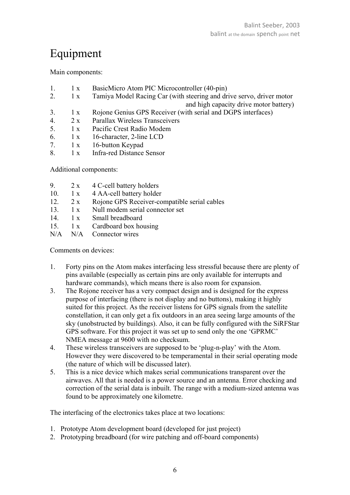### Equipment

Main components:

- 1. 1 x BasicMicro Atom PIC Microcontroller (40-pin)
- 2. 1 x Tamiya Model Racing Car (with steering and drive servo, driver motor and high capacity drive motor battery)
- 3. 1 x Rojone Genius GPS Receiver (with serial and DGPS interfaces)
- 4. 2 x Parallax Wireless Transceivers
- 5. 1 x Pacific Crest Radio Modem
- 6. 1 x 16-character, 2-line LCD
- 7. 1 x 16-button Keypad
- 8. 1 x Infra-red Distance Sensor

Additional components:

| 9. | 2 x | 4 C-cell battery holders |
|----|-----|--------------------------|
|----|-----|--------------------------|

- 10. 1 x 4 AA-cell battery holder
- 12. 2 x Rojone GPS Receiver-compatible serial cables
- 13. 1 x Null modem serial connector set
- 14 1 x Small breadboard
- 15. 1 x Cardboard box housing
- N/A N/A Connector wires

Comments on devices:

- 1. Forty pins on the Atom makes interfacing less stressful because there are plenty of pins available (especially as certain pins are only available for interrupts and hardware commands), which means there is also room for expansion.
- 3. The Rojone receiver has a very compact design and is designed for the express purpose of interfacing (there is not display and no buttons), making it highly suited for this project. As the receiver listens for GPS signals from the satellite constellation, it can only get a fix outdoors in an area seeing large amounts of the sky (unobstructed by buildings). Also, it can be fully configured with the SiRFStar GPS software. For this project it was set up to send only the one 'GPRMC' NMEA message at 9600 with no checksum.
- 4. These wireless transceivers are supposed to be 'plug-n-play' with the Atom. However they were discovered to be temperamental in their serial operating mode (the nature of which will be discussed later).
- 5. This is a nice device which makes serial communications transparent over the airwaves. All that is needed is a power source and an antenna. Error checking and correction of the serial data is inbuilt. The range with a medium-sized antenna was found to be approximately one kilometre.

The interfacing of the electronics takes place at two locations:

- 1. Prototype Atom development board (developed for just project)
- 2. Prototyping breadboard (for wire patching and off-board components)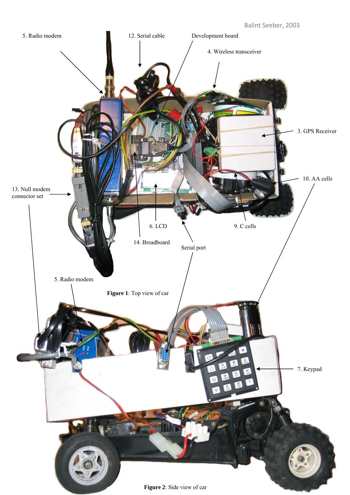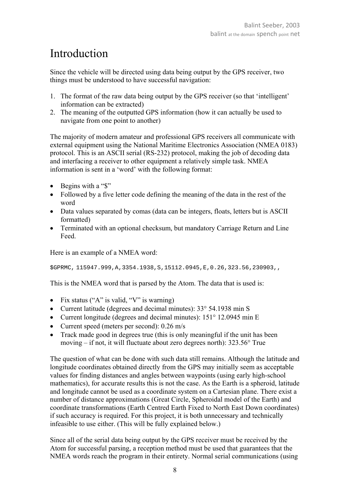### Introduction

Since the vehicle will be directed using data being output by the GPS receiver, two things must be understood to have successful navigation:

- 1. The format of the raw data being output by the GPS receiver (so that 'intelligent' information can be extracted)
- 2. The meaning of the outputted GPS information (how it can actually be used to navigate from one point to another)

The majority of modern amateur and professional GPS receivers all communicate with external equipment using the National Maritime Electronics Association (NMEA 0183) protocol. This is an ASCII serial (RS-232) protocol, making the job of decoding data and interfacing a receiver to other equipment a relatively simple task. NMEA information is sent in a 'word' with the following format:

- Begins with a "\$"
- Followed by a five letter code defining the meaning of the data in the rest of the word
- Data values separated by comas (data can be integers, floats, letters but is ASCII formatted)
- Terminated with an optional checksum, but mandatory Carriage Return and Line Feed.

Here is an example of a NMEA word:

\$GPRMC, 115947.999,A,3354.1938,S,15112.0945,E,0.26,323.56,230903,,

This is the NMEA word that is parsed by the Atom. The data that is used is:

- Fix status ("A" is valid, "V" is warning)
- Current latitude (degrees and decimal minutes): 33° 54.1938 min S
- Current longitude (degrees and decimal minutes): 151° 12.0945 min E
- Current speed (meters per second):  $0.26$  m/s
- Track made good in degrees true (this is only meaningful if the unit has been moving – if not, it will fluctuate about zero degrees north): 323.56° True

The question of what can be done with such data still remains. Although the latitude and longitude coordinates obtained directly from the GPS may initially seem as acceptable values for finding distances and angles between waypoints (using early high-school mathematics), for accurate results this is not the case. As the Earth is a spheroid, latitude and longitude cannot be used as a coordinate system on a Cartesian plane. There exist a number of distance approximations (Great Circle, Spheroidal model of the Earth) and coordinate transformations (Earth Centred Earth Fixed to North East Down coordinates) if such accuracy is required. For this project, it is both unnecessary and technically infeasible to use either. (This will be fully explained below.)

Since all of the serial data being output by the GPS receiver must be received by the Atom for successful parsing, a reception method must be used that guarantees that the NMEA words reach the program in their entirety. Normal serial communications (using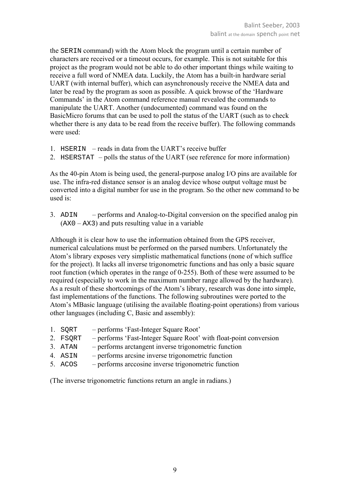the SERIN command) with the Atom block the program until a certain number of characters are received or a timeout occurs, for example. This is not suitable for this project as the program would not be able to do other important things while waiting to receive a full word of NMEA data. Luckily, the Atom has a built-in hardware serial UART (with internal buffer), which can asynchronously receive the NMEA data and later be read by the program as soon as possible. A quick browse of the 'Hardware Commands' in the Atom command reference manual revealed the commands to manipulate the UART. Another (undocumented) command was found on the BasicMicro forums that can be used to poll the status of the UART (such as to check whether there is any data to be read from the receive buffer). The following commands were used:

- 1. HSERIN reads in data from the UART's receive buffer
- 2. HSERSTAT polls the status of the UART (see reference for more information)

As the 40-pin Atom is being used, the general-purpose analog I/O pins are available for use. The infra-red distance sensor is an analog device whose output voltage must be converted into a digital number for use in the program. So the other new command to be used is:

3. ADIN – performs and Analog-to-Digital conversion on the specified analog pin (AX0 – AX3) and puts resulting value in a variable

Although it is clear how to use the information obtained from the GPS receiver, numerical calculations must be performed on the parsed numbers. Unfortunately the Atom's library exposes very simplistic mathematical functions (none of which suffice for the project). It lacks all inverse trigonometric functions and has only a basic square root function (which operates in the range of 0-255). Both of these were assumed to be required (especially to work in the maximum number range allowed by the hardware). As a result of these shortcomings of the Atom's library, research was done into simple, fast implementations of the functions. The following subroutines were ported to the Atom's MBasic language (utilising the available floating-point operations) from various other languages (including C, Basic and assembly):

- 1. SQRT performs 'Fast-Integer Square Root'
- 2. FSQRT performs 'Fast-Integer Square Root' with float-point conversion
- 3. ATAN performs arctangent inverse trigonometric function
- 4. ASIN performs arcsine inverse trigonometric function
- 5. ACOS performs arccosine inverse trigonometric function

(The inverse trigonometric functions return an angle in radians.)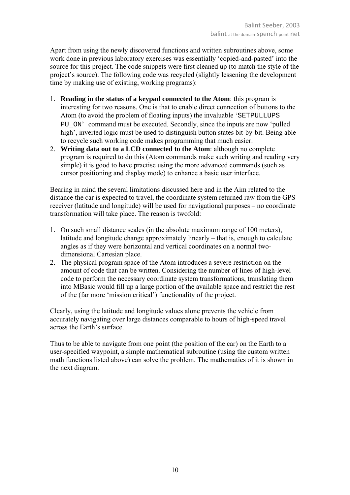Apart from using the newly discovered functions and written subroutines above, some work done in previous laboratory exercises was essentially 'copied-and-pasted' into the source for this project. The code snippets were first cleaned up (to match the style of the project's source). The following code was recycled (slightly lessening the development time by making use of existing, working programs):

- 1. **Reading in the status of a keypad connected to the Atom**: this program is interesting for two reasons. One is that to enable direct connection of buttons to the Atom (to avoid the problem of floating inputs) the invaluable 'SETPULLUPS PU\_ON' command must be executed. Secondly, since the inputs are now 'pulled high', inverted logic must be used to distinguish button states bit-by-bit. Being able to recycle such working code makes programming that much easier.
- 2. **Writing data out to a LCD connected to the Atom**: although no complete program is required to do this (Atom commands make such writing and reading very simple) it is good to have practise using the more advanced commands (such as cursor positioning and display mode) to enhance a basic user interface.

Bearing in mind the several limitations discussed here and in the Aim related to the distance the car is expected to travel, the coordinate system returned raw from the GPS receiver (latitude and longitude) will be used for navigational purposes – no coordinate transformation will take place. The reason is twofold:

- 1. On such small distance scales (in the absolute maximum range of 100 meters), latitude and longitude change approximately linearly – that is, enough to calculate angles as if they were horizontal and vertical coordinates on a normal twodimensional Cartesian place.
- 2. The physical program space of the Atom introduces a severe restriction on the amount of code that can be written. Considering the number of lines of high-level code to perform the necessary coordinate system transformations, translating them into MBasic would fill up a large portion of the available space and restrict the rest of the (far more 'mission critical') functionality of the project.

Clearly, using the latitude and longitude values alone prevents the vehicle from accurately navigating over large distances comparable to hours of high-speed travel across the Earth's surface.

Thus to be able to navigate from one point (the position of the car) on the Earth to a user-specified waypoint, a simple mathematical subroutine (using the custom written math functions listed above) can solve the problem. The mathematics of it is shown in the next diagram.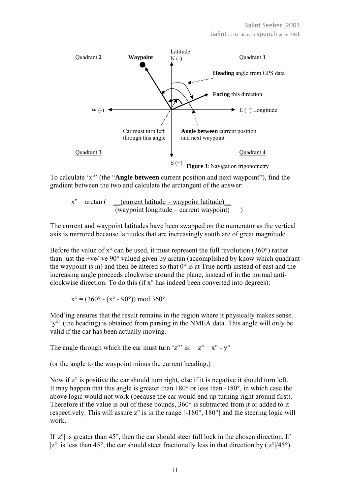

To calculate 'x°' (the "**Angle between** current position and next waypoint"), find the gradient between the two and calculate the arctangent of the answer:

 $x^\circ$  = arctan ( \_\_\_(current latitude – waypoint latitude)  $(wa$ ypoint longitude – current waypoint $)$ )

The current and waypoint latitudes have been swapped on the numerator as the vertical axis is mirrored because latitudes that are increasingly south are of great magnitude.

Before the value of  $x^{\circ}$  can be used, it must represent the full revolution (360 $^{\circ}$ ) rather than just the +ve/-ve 90° valued given by arctan (accomplished by know which quadrant the waypoint is in) and then be altered so that  $0^{\circ}$  is at True north instead of east and the increasing angle proceeds clockwise around the plane, instead of in the normal anticlockwise direction. To do this (if  $x^{\circ}$  has indeed been converted into degrees):

 $x^{\circ} = (360^{\circ} - (x^{\circ} - 90^{\circ})) \mod 360^{\circ}$ 

Mod'ing ensures that the result remains in the region where it physically makes sense. 'y°' (the heading) is obtained from parsing in the NMEA data. This angle will only be valid if the car has been actually moving.

The angle through which the car must turn 'z<sup>o</sup>' is:  $z^\circ = x^\circ - y^\circ$ 

(or the angle to the waypoint minus the current heading.)

Now if  $z^{\circ}$  is positive the car should turn right, else if it is negative it should turn left. It may happen that this angle is greater than 180° or less than -180°, in which case the above logic would not work (because the car would end up turning right around first). Therefore if the value is out of these bounds, 360° is subtracted from it or added to it respectively. This will assure  $z^{\circ}$  is in the range  $[-180^{\circ}, 180^{\circ}]$  and the steering logic will work.

If  $|z^{\circ}|$  is greater than 45°, then the car should steer full lock in the chosen direction. If  $|z^{\circ}|$  is less than 45°, the car should steer fractionally less in that direction by  $(|z^{\circ}|/45^{\circ})$ .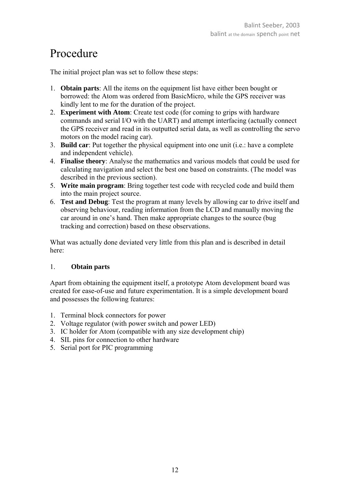### Procedure

The initial project plan was set to follow these steps:

- 1. **Obtain parts**: All the items on the equipment list have either been bought or borrowed: the Atom was ordered from BasicMicro, while the GPS receiver was kindly lent to me for the duration of the project.
- 2. **Experiment with Atom**: Create test code (for coming to grips with hardware commands and serial I/O with the UART) and attempt interfacing (actually connect the GPS receiver and read in its outputted serial data, as well as controlling the servo motors on the model racing car).
- 3. **Build car**: Put together the physical equipment into one unit (i.e.: have a complete and independent vehicle).
- 4. **Finalise theory**: Analyse the mathematics and various models that could be used for calculating navigation and select the best one based on constraints. (The model was described in the previous section).
- 5. **Write main program**: Bring together test code with recycled code and build them into the main project source.
- 6. **Test and Debug**: Test the program at many levels by allowing car to drive itself and observing behaviour, reading information from the LCD and manually moving the car around in one's hand. Then make appropriate changes to the source (bug tracking and correction) based on these observations.

What was actually done deviated very little from this plan and is described in detail here:

#### 1. **Obtain parts**

Apart from obtaining the equipment itself, a prototype Atom development board was created for ease-of-use and future experimentation. It is a simple development board and possesses the following features:

- 1. Terminal block connectors for power
- 2. Voltage regulator (with power switch and power LED)
- 3. IC holder for Atom (compatible with any size development chip)
- 4. SIL pins for connection to other hardware
- 5. Serial port for PIC programming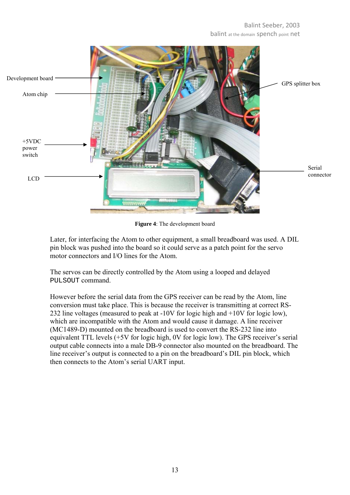#### Balint Seeber, 2003 balint at the domain spench point net



**Figure 4**: The development board

Later, for interfacing the Atom to other equipment, a small breadboard was used. A DIL pin block was pushed into the board so it could serve as a patch point for the servo motor connectors and I/O lines for the Atom.

The servos can be directly controlled by the Atom using a looped and delayed PULSOUT command.

However before the serial data from the GPS receiver can be read by the Atom, line conversion must take place. This is because the receiver is transmitting at correct RS-232 line voltages (measured to peak at -10V for logic high and +10V for logic low), which are incompatible with the Atom and would cause it damage. A line receiver (MC1489-D) mounted on the breadboard is used to convert the RS-232 line into equivalent TTL levels (+5V for logic high, 0V for logic low). The GPS receiver's serial output cable connects into a male DB-9 connector also mounted on the breadboard. The line receiver's output is connected to a pin on the breadboard's DIL pin block, which then connects to the Atom's serial UART input.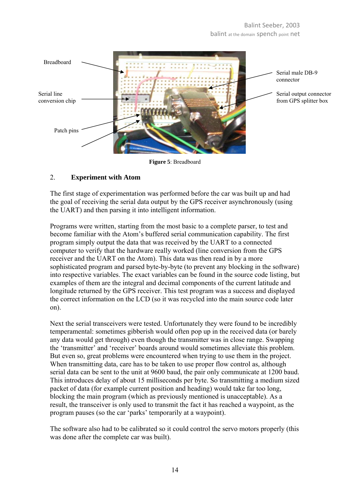

**Figure 5**: Breadboard

#### 2. **Experiment with Atom**

The first stage of experimentation was performed before the car was built up and had the goal of receiving the serial data output by the GPS receiver asynchronously (using the UART) and then parsing it into intelligent information.

Programs were written, starting from the most basic to a complete parser, to test and become familiar with the Atom's buffered serial communication capability. The first program simply output the data that was received by the UART to a connected computer to verify that the hardware really worked (line conversion from the GPS receiver and the UART on the Atom). This data was then read in by a more sophisticated program and parsed byte-by-byte (to prevent any blocking in the software) into respective variables. The exact variables can be found in the source code listing, but examples of them are the integral and decimal components of the current latitude and longitude returned by the GPS receiver. This test program was a success and displayed the correct information on the LCD (so it was recycled into the main source code later on).

Next the serial transceivers were tested. Unfortunately they were found to be incredibly temperamental: sometimes gibberish would often pop up in the received data (or barely any data would get through) even though the transmitter was in close range. Swapping the 'transmitter' and 'receiver' boards around would sometimes alleviate this problem. But even so, great problems were encountered when trying to use them in the project. When transmitting data, care has to be taken to use proper flow control as, although serial data can be sent to the unit at 9600 baud, the pair only communicate at 1200 baud. This introduces delay of about 15 milliseconds per byte. So transmitting a medium sized packet of data (for example current position and heading) would take far too long, blocking the main program (which as previously mentioned is unacceptable). As a result, the transceiver is only used to transmit the fact it has reached a waypoint, as the program pauses (so the car 'parks' temporarily at a waypoint).

The software also had to be calibrated so it could control the servo motors properly (this was done after the complete car was built).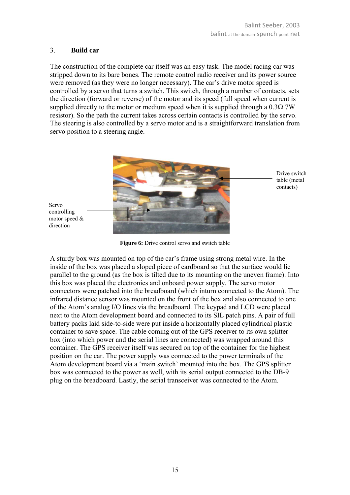#### 3. **Build car**

The construction of the complete car itself was an easy task. The model racing car was stripped down to its bare bones. The remote control radio receiver and its power source were removed (as they were no longer necessary). The car's drive motor speed is controlled by a servo that turns a switch. This switch, through a number of contacts, sets the direction (forward or reverse) of the motor and its speed (full speed when current is supplied directly to the motor or medium speed when it is supplied through a  $0.3\Omega$  7W resistor). So the path the current takes across certain contacts is controlled by the servo. The steering is also controlled by a servo motor and is a straightforward translation from servo position to a steering angle.



Servo controlling motor speed & direction

**Figure 6:** Drive control servo and switch table

A sturdy box was mounted on top of the car's frame using strong metal wire. In the inside of the box was placed a sloped piece of cardboard so that the surface would lie parallel to the ground (as the box is tilted due to its mounting on the uneven frame). Into this box was placed the electronics and onboard power supply. The servo motor connectors were patched into the breadboard (which inturn connected to the Atom). The infrared distance sensor was mounted on the front of the box and also connected to one of the Atom's analog I/O lines via the breadboard. The keypad and LCD were placed next to the Atom development board and connected to its SIL patch pins. A pair of full battery packs laid side-to-side were put inside a horizontally placed cylindrical plastic container to save space. The cable coming out of the GPS receiver to its own splitter box (into which power and the serial lines are connected) was wrapped around this container. The GPS receiver itself was secured on top of the container for the highest position on the car. The power supply was connected to the power terminals of the Atom development board via a 'main switch' mounted into the box. The GPS splitter box was connected to the power as well, with its serial output connected to the DB-9 plug on the breadboard. Lastly, the serial transceiver was connected to the Atom.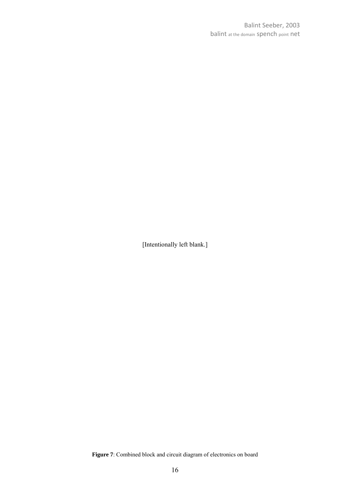[Intentionally left blank.]

**Figure 7**: Combined block and circuit diagram of electronics on board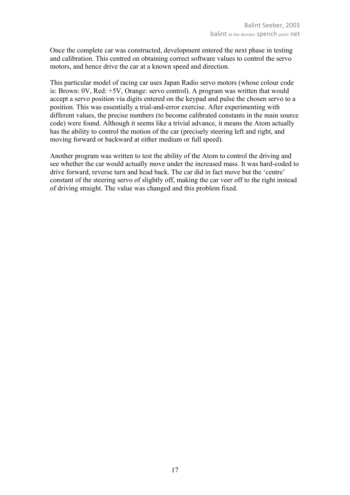Once the complete car was constructed, development entered the next phase in testing and calibration. This centred on obtaining correct software values to control the servo motors, and hence drive the car at a known speed and direction.

This particular model of racing car uses Japan Radio servo motors (whose colour code is: Brown: 0V, Red: +5V, Orange: servo control). A program was written that would accept a servo position via digits entered on the keypad and pulse the chosen servo to a position. This was essentially a trial-and-error exercise. After experimenting with different values, the precise numbers (to become calibrated constants in the main source code) were found. Although it seems like a trivial advance, it means the Atom actually has the ability to control the motion of the car (precisely steering left and right, and moving forward or backward at either medium or full speed).

Another program was written to test the ability of the Atom to control the driving and see whether the car would actually move under the increased mass. It was hard-coded to drive forward, reverse turn and head back. The car did in fact move but the 'centre' constant of the steering servo of slightly off, making the car veer off to the right instead of driving straight. The value was changed and this problem fixed.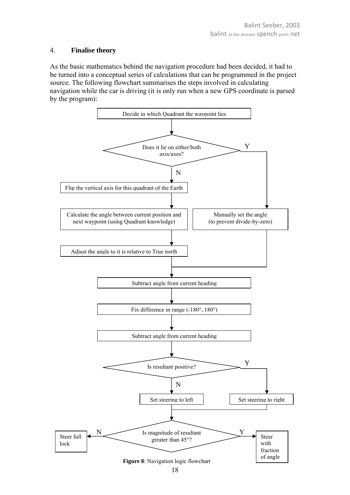#### 4. **Finalise theory**

As the basic mathematics behind the navigation procedure had been decided, it had to be turned into a conceptual series of calculations that can be programmed in the project source. The following flowchart summarises the steps involved in calculating navigation while the car is driving (it is only run when a new GPS coordinate is parsed by the program):

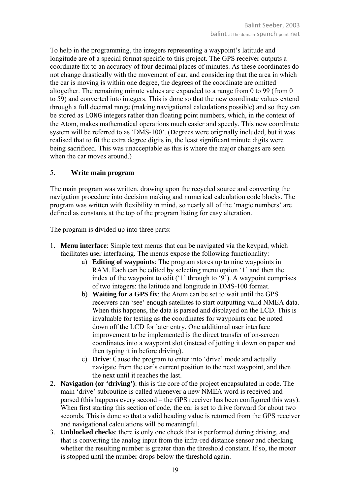To help in the programming, the integers representing a waypoint's latitude and longitude are of a special format specific to this project. The GPS receiver outputs a coordinate fix to an accuracy of four decimal places of minutes. As these coordinates do not change drastically with the movement of car, and considering that the area in which the car is moving is within one degree, the degrees of the coordinate are omitted altogether. The remaining minute values are expanded to a range from 0 to 99 (from 0 to 59) and converted into integers. This is done so that the new coordinate values extend through a full decimal range (making navigational calculations possible) and so they can be stored as LONG integers rather than floating point numbers, which, in the context of the Atom, makes mathematical operations much easier and speedy. This new coordinate system will be referred to as 'DMS-100'. (**D**egrees were originally included, but it was realised that to fit the extra degree digits in, the least significant minute digits were being sacrificed. This was unacceptable as this is where the major changes are seen when the car moves around.)

#### 5. **Write main program**

The main program was written, drawing upon the recycled source and converting the navigation procedure into decision making and numerical calculation code blocks. The program was written with flexibility in mind, so nearly all of the 'magic numbers' are defined as constants at the top of the program listing for easy alteration.

The program is divided up into three parts:

- 1. **Menu interface**: Simple text menus that can be navigated via the keypad, which facilitates user interfacing. The menus expose the following functionality:
	- a) **Editing of waypoints**: The program stores up to nine waypoints in RAM. Each can be edited by selecting menu option '1' and then the index of the waypoint to edit ('1' through to '9'). A waypoint comprises of two integers: the latitude and longitude in DMS-100 format.
	- b) **Waiting for a GPS fix**: the Atom can be set to wait until the GPS receivers can 'see' enough satellites to start outputting valid NMEA data. When this happens, the data is parsed and displayed on the LCD. This is invaluable for testing as the coordinates for waypoints can be noted down off the LCD for later entry. One additional user interface improvement to be implemented is the direct transfer of on-screen coordinates into a waypoint slot (instead of jotting it down on paper and then typing it in before driving).
	- c) **Drive**: Cause the program to enter into 'drive' mode and actually navigate from the car's current position to the next waypoint, and then the next until it reaches the last.
- 2. **Navigation (or 'driving')**: this is the core of the project encapsulated in code. The main 'drive' subroutine is called whenever a new NMEA word is received and parsed (this happens every second – the GPS receiver has been configured this way). When first starting this section of code, the car is set to drive forward for about two seconds. This is done so that a valid heading value is returned from the GPS receiver and navigational calculations will be meaningful.
- 3. **Unblocked checks**: there is only one check that is performed during driving, and that is converting the analog input from the infra-red distance sensor and checking whether the resulting number is greater than the threshold constant. If so, the motor is stopped until the number drops below the threshold again.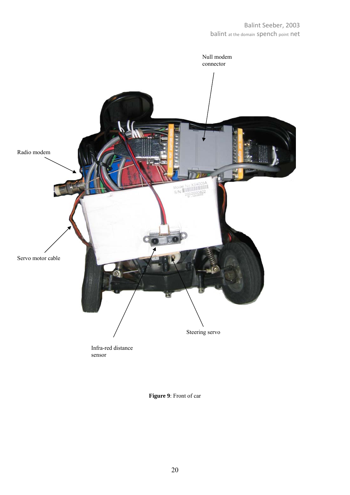

#### **Figure 9**: Front of car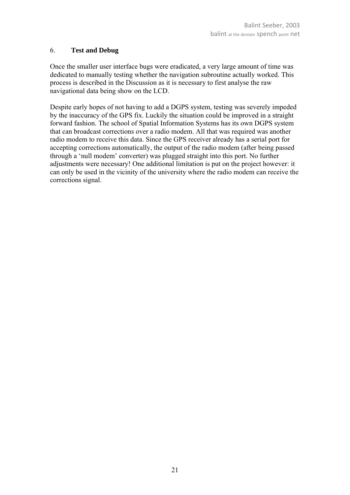#### 6. **Test and Debug**

Once the smaller user interface bugs were eradicated, a very large amount of time was dedicated to manually testing whether the navigation subroutine actually worked. This process is described in the Discussion as it is necessary to first analyse the raw navigational data being show on the LCD.

Despite early hopes of not having to add a DGPS system, testing was severely impeded by the inaccuracy of the GPS fix. Luckily the situation could be improved in a straight forward fashion. The school of Spatial Information Systems has its own DGPS system that can broadcast corrections over a radio modem. All that was required was another radio modem to receive this data. Since the GPS receiver already has a serial port for accepting corrections automatically, the output of the radio modem (after being passed through a 'null modem' converter) was plugged straight into this port. No further adjustments were necessary! One additional limitation is put on the project however: it can only be used in the vicinity of the university where the radio modem can receive the corrections signal.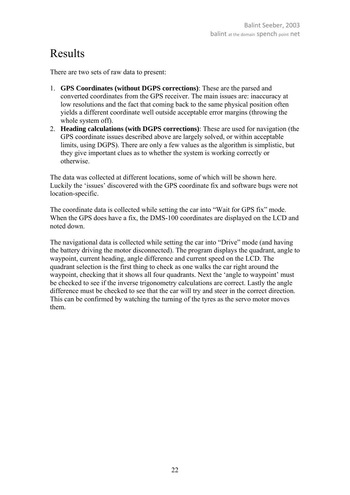### Results

There are two sets of raw data to present:

- 1. **GPS Coordinates (without DGPS corrections)**: These are the parsed and converted coordinates from the GPS receiver. The main issues are: inaccuracy at low resolutions and the fact that coming back to the same physical position often yields a different coordinate well outside acceptable error margins (throwing the whole system off).
- 2. **Heading calculations (with DGPS corrections)**: These are used for navigation (the GPS coordinate issues described above are largely solved, or within acceptable limits, using DGPS). There are only a few values as the algorithm is simplistic, but they give important clues as to whether the system is working correctly or otherwise.

The data was collected at different locations, some of which will be shown here. Luckily the 'issues' discovered with the GPS coordinate fix and software bugs were not location-specific.

The coordinate data is collected while setting the car into "Wait for GPS fix" mode. When the GPS does have a fix, the DMS-100 coordinates are displayed on the LCD and noted down.

The navigational data is collected while setting the car into "Drive" mode (and having the battery driving the motor disconnected). The program displays the quadrant, angle to waypoint, current heading, angle difference and current speed on the LCD. The quadrant selection is the first thing to check as one walks the car right around the waypoint, checking that it shows all four quadrants. Next the 'angle to waypoint' must be checked to see if the inverse trigonometry calculations are correct. Lastly the angle difference must be checked to see that the car will try and steer in the correct direction. This can be confirmed by watching the turning of the tyres as the servo motor moves them.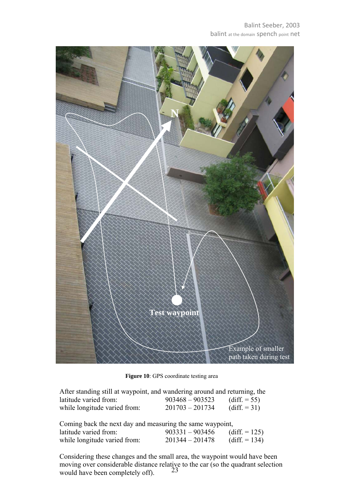

**Figure 10**: GPS coordinate testing area

| After standing still at waypoint, and wandering around and returning, the |                   |                 |
|---------------------------------------------------------------------------|-------------------|-----------------|
| latitude varied from:                                                     | $903468 - 903523$ | (diff. $= 55$ ) |
| while longitude varied from:                                              | $201703 - 201734$ | $(diff. = 31)$  |

| Coming back the next day and measuring the same waypoint, |                   |                  |  |
|-----------------------------------------------------------|-------------------|------------------|--|
| latitude varied from:                                     | $903331 - 903456$ | (diff. $= 125$ ) |  |
| while longitude varied from:                              | $201344 - 201478$ | $(diff. = 134)$  |  |

23 Considering these changes and the small area, the waypoint would have been moving over considerable distance relative to the car (so the quadrant selection would have been completely off).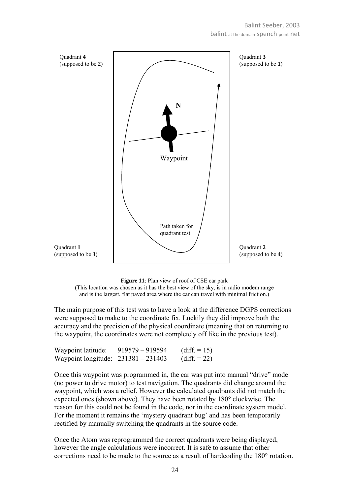



The main purpose of this test was to have a look at the difference DGPS corrections were supposed to make to the coordinate fix. Luckily they did improve both the accuracy and the precision of the physical coordinate (meaning that on returning to the waypoint, the coordinates were not completely off like in the previous test).

| Waypoint latitude:                    | $919579 - 919594$ | $(diff. = 15)$        |
|---------------------------------------|-------------------|-----------------------|
| Waypoint longitude: $231381 - 231403$ |                   | $\text{(diff. = 22)}$ |

Once this waypoint was programmed in, the car was put into manual "drive" mode (no power to drive motor) to test navigation. The quadrants did change around the waypoint, which was a relief. However the calculated quadrants did not match the expected ones (shown above). They have been rotated by 180° clockwise. The reason for this could not be found in the code, nor in the coordinate system model. For the moment it remains the 'mystery quadrant bug' and has been temporarily rectified by manually switching the quadrants in the source code.

Once the Atom was reprogrammed the correct quadrants were being displayed, however the angle calculations were incorrect. It is safe to assume that other corrections need to be made to the source as a result of hardcoding the 180° rotation.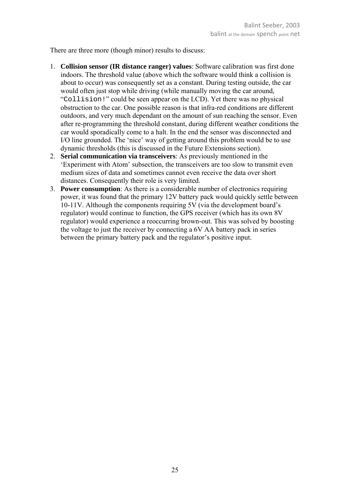There are three more (though minor) results to discuss:

- 1. **Collision sensor (IR distance ranger) values**: Software calibration was first done indoors. The threshold value (above which the software would think a collision is about to occur) was consequently set as a constant. During testing outside, the car would often just stop while driving (while manually moving the car around, "Collision!" could be seen appear on the LCD). Yet there was no physical obstruction to the car. One possible reason is that infra-red conditions are different outdoors, and very much dependant on the amount of sun reaching the sensor. Even after re-programming the threshold constant, during different weather conditions the car would sporadically come to a halt. In the end the sensor was disconnected and I/O line grounded. The 'nice' way of getting around this problem would be to use dynamic thresholds (this is discussed in the Future Extensions section).
- 2. **Serial communication via transceivers**: As previously mentioned in the 'Experiment with Atom' subsection, the transceivers are too slow to transmit even medium sizes of data and sometimes cannot even receive the data over short distances. Consequently their role is very limited.
- 3. **Power consumption**: As there is a considerable number of electronics requiring power, it was found that the primary 12V battery pack would quickly settle between 10-11V. Although the components requiring 5V (via the development board's regulator) would continue to function, the GPS receiver (which has its own 8V regulator) would experience a reoccurring brown-out. This was solved by boosting the voltage to just the receiver by connecting a 6V AA battery pack in series between the primary battery pack and the regulator's positive input.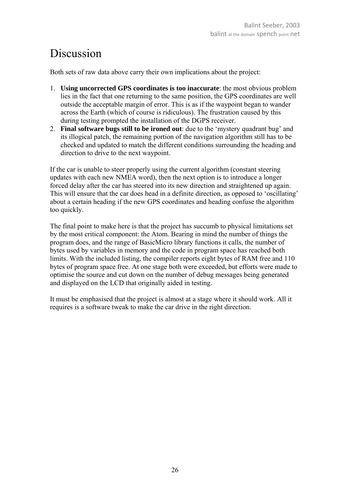### Discussion

Both sets of raw data above carry their own implications about the project:

- 1. **Using uncorrected GPS coordinates is too inaccurate**: the most obvious problem lies in the fact that one returning to the same position, the GPS coordinates are well outside the acceptable margin of error. This is as if the waypoint began to wander across the Earth (which of course is ridiculous). The frustration caused by this during testing prompted the installation of the DGPS receiver.
- 2. **Final software bugs still to be ironed out**: due to the 'mystery quadrant bug' and its illogical patch, the remaining portion of the navigation algorithm still has to be checked and updated to match the different conditions surrounding the heading and direction to drive to the next waypoint.

If the car is unable to steer properly using the current algorithm (constant steering updates with each new NMEA word), then the next option is to introduce a longer forced delay after the car has steered into its new direction and straightened up again. This will ensure that the car does head in a definite direction, as opposed to 'oscillating' about a certain heading if the new GPS coordinates and heading confuse the algorithm too quickly.

The final point to make here is that the project has succumb to physical limitations set by the most critical component: the Atom. Bearing in mind the number of things the program does, and the range of BasicMicro library functions it calls, the number of bytes used by variables in memory and the code in program space has reached both limits. With the included listing, the compiler reports eight bytes of RAM free and 110 bytes of program space free. At one stage both were exceeded, but efforts were made to optimise the source and cut down on the number of debug messages being generated and displayed on the LCD that originally aided in testing.

It must be emphasised that the project is almost at a stage where it should work. All it requires is a software tweak to make the car drive in the right direction.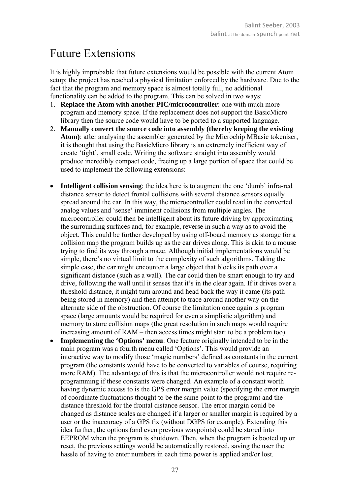### Future Extensions

It is highly improbable that future extensions would be possible with the current Atom setup; the project has reached a physical limitation enforced by the hardware. Due to the fact that the program and memory space is almost totally full, no additional functionality can be added to the program. This can be solved in two ways:

- 1. **Replace the Atom with another PIC/microcontroller**: one with much more program and memory space. If the replacement does not support the BasicMicro library then the source code would have to be ported to a supported language.
- 2. **Manually convert the source code into assembly (thereby keeping the existing Atom)**: after analysing the assembler generated by the Microchip MBasic tokeniser, it is thought that using the BasicMicro library is an extremely inefficient way of create 'tight', small code. Writing the software straight into assembly would produce incredibly compact code, freeing up a large portion of space that could be used to implement the following extensions:
- **Intelligent collision sensing**: the idea here is to augment the one 'dumb' infra-red distance sensor to detect frontal collisions with several distance sensors equally spread around the car. In this way, the microcontroller could read in the converted analog values and 'sense' imminent collisions from multiple angles. The microcontroller could then be intelligent about its future driving by approximating the surrounding surfaces and, for example, reverse in such a way as to avoid the object. This could be further developed by using off-board memory as storage for a collision map the program builds up as the car drives along. This is akin to a mouse trying to find its way through a maze. Although initial implementations would be simple, there's no virtual limit to the complexity of such algorithms. Taking the simple case, the car might encounter a large object that blocks its path over a significant distance (such as a wall). The car could then be smart enough to try and drive, following the wall until it senses that it's in the clear again. If it drives over a threshold distance, it might turn around and head back the way it came (its path being stored in memory) and then attempt to trace around another way on the alternate side of the obstruction. Of course the limitation once again is program space (large amounts would be required for even a simplistic algorithm) and memory to store collision maps (the great resolution in such maps would require increasing amount of RAM – then access times might start to be a problem too).
- **Implementing the 'Options' menu**: One feature originally intended to be in the main program was a fourth menu called 'Options'. This would provide an interactive way to modify those 'magic numbers' defined as constants in the current program (the constants would have to be converted to variables of course, requiring more RAM). The advantage of this is that the microcontroller would not require reprogramming if these constants were changed. An example of a constant worth having dynamic access to is the GPS error margin value (specifying the error margin of coordinate fluctuations thought to be the same point to the program) and the distance threshold for the frontal distance sensor. The error margin could be changed as distance scales are changed if a larger or smaller margin is required by a user or the inaccuracy of a GPS fix (without DGPS for example). Extending this idea further, the options (and even previous waypoints) could be stored into EEPROM when the program is shutdown. Then, when the program is booted up or reset, the previous settings would be automatically restored, saving the user the hassle of having to enter numbers in each time power is applied and/or lost.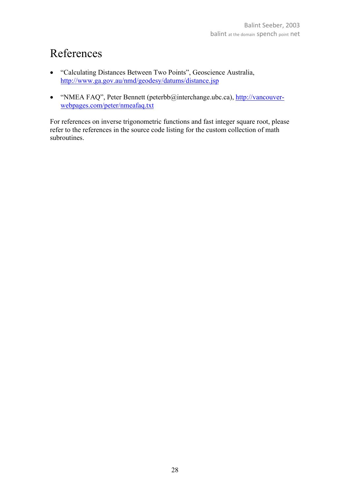### References

- "Calculating Distances Between Two Points", Geoscience Australia, http://www.ga.gov.au/nmd/geodesy/datums/distance.jsp
- "NMEA FAQ", Peter Bennett (peterbb@interchange.ubc.ca), http://vancouverwebpages.com/peter/nmeafaq.txt

For references on inverse trigonometric functions and fast integer square root, please refer to the references in the source code listing for the custom collection of math subroutines.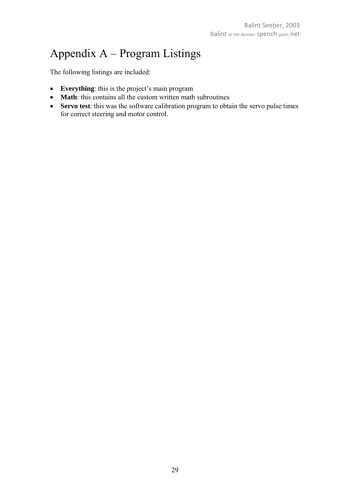# Appendix A – Program Listings

The following listings are included:

- **Everything**: this is the project's main program
- **Math**: this contains all the custom written math subroutines
- **Servo test**: this was the software calibration program to obtain the servo pulse times for correct steering and motor control.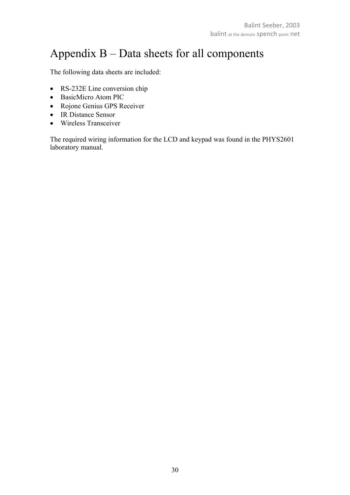### Appendix B – Data sheets for all components

The following data sheets are included:

- RS-232E Line conversion chip
- BasicMicro Atom PIC
- Rojone Genius GPS Receiver
- IR Distance Sensor
- Wireless Transceiver

The required wiring information for the LCD and keypad was found in the PHYS2601 laboratory manual.